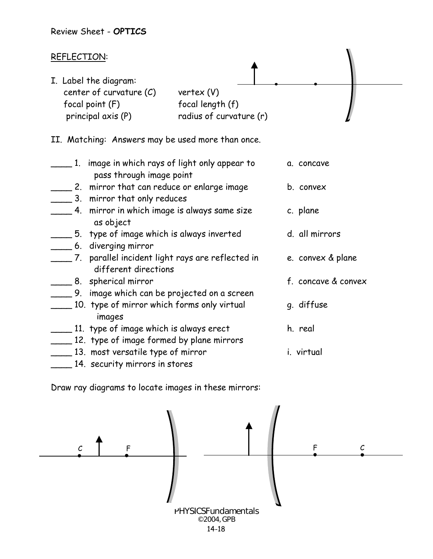## Review Sheet - **OPTICS**

## REFLECTION:

- I. Label the diagram:
- center of curvature  $(C)$  vertex  $(V)$ focal point (F) focal length (f)

principal axis (P) radius of curvature (r)

II. Matching: Answers may be used more than once.

|    | image in which rays of light only appear to                           | a. concave          |
|----|-----------------------------------------------------------------------|---------------------|
|    | pass through image point                                              |                     |
| 2. | mirror that can reduce or enlarge image                               | b. convex           |
| 3. | mirror that only reduces                                              |                     |
| 4. | mirror in which image is always same size<br>as object                | c. plane            |
| 5. | type of image which is always inverted                                | d. all mirrors      |
| 6. | diverging mirror                                                      |                     |
| 7. | parallel incident light rays are reflected in<br>different directions | e. convex & plane   |
|    | 8. spherical mirror                                                   | f. concave & convex |
| 9. | image which can be projected on a screen                              |                     |
|    | 10. type of mirror which forms only virtual<br>images                 | g. diffuse          |
|    | 11. type of image which is always erect                               | h. real             |
|    | 12. type of image formed by plane mirrors                             |                     |
|    | 13. most versatile type of mirror                                     | <i>i</i> . virtual  |
|    | 14. security mirrors in stores                                        |                     |
|    |                                                                       |                     |

Draw ray diagrams to locate images in these mirrors:

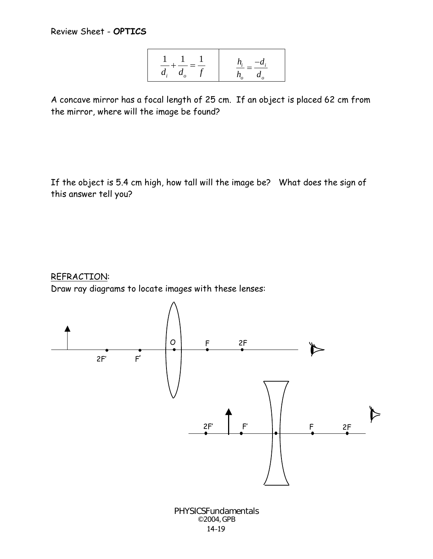$$
\frac{1}{d_i} + \frac{1}{d_o} = \frac{1}{f}
$$
\n
$$
\frac{h_i}{h_o} = \frac{-d_i}{d_o}
$$

A concave mirror has a focal length of 25 cm. If an object is placed 62 cm from the mirror, where will the image be found?

If the object is 5.4 cm high, how tall will the image be? What does the sign of this answer tell you?

# REFRACTION:

Draw ray diagrams to locate images with these lenses: